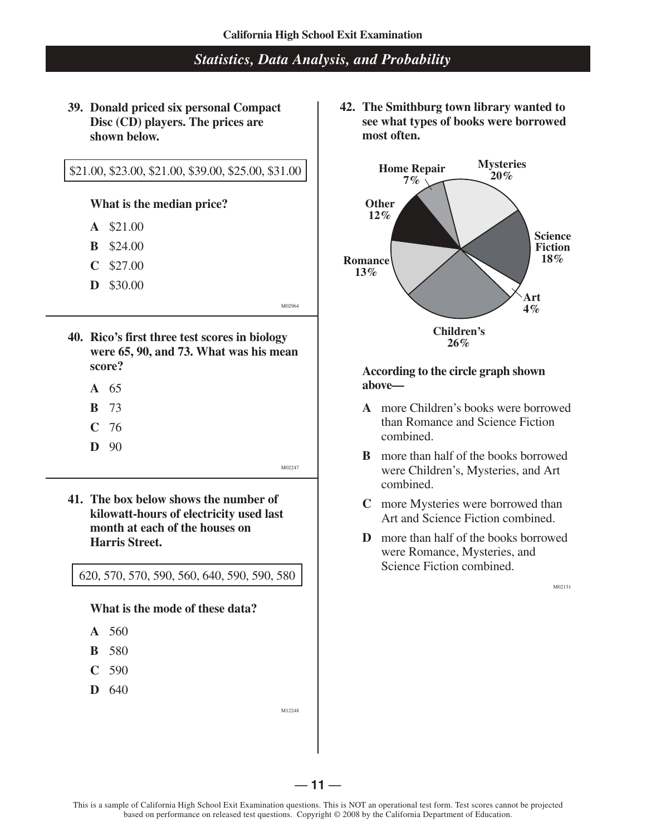**39. Donald priced six personal Compact Disc (CD) players. The prices are shown below.**

#### \$21.00, \$23.00, \$21.00, \$39.00, \$25.00, \$31.00

#### **What is the median price?**

- **A** \$21.00
- **B** \$24.00
- **C** \$27.00
- **D** \$30.00

M02964

- **40. Rico's first three test scores in biology were 65, 90, and 73. What was his mean score?** 
	- **A** 65
	- **B** 73
	- **C** 76
	- **D** 90

 $M02247$ 

 **41. The box below shows the number of kilowatt-hours of electricity used last month at each of the houses on Harris Street.**

620, 570, 570, 590, 560, 640, 590, 590, 580

**What is the mode of these data?**

- **A** 560
- **B** 580
- **C** 590
- **D** 640

M12248

 **42. The Smithburg town library wanted to see what types of books were borrowed most often.**



#### **According to the circle graph shown above—**

- **A** more Children's books were borrowed than Romance and Science Fiction combined.
- **B** more than half of the books borrowed were Children's, Mysteries, and Art combined.
- **C** more Mysteries were borrowed than Art and Science Fiction combined.
- **D** more than half of the books borrowed were Romance, Mysteries, and Science Fiction combined.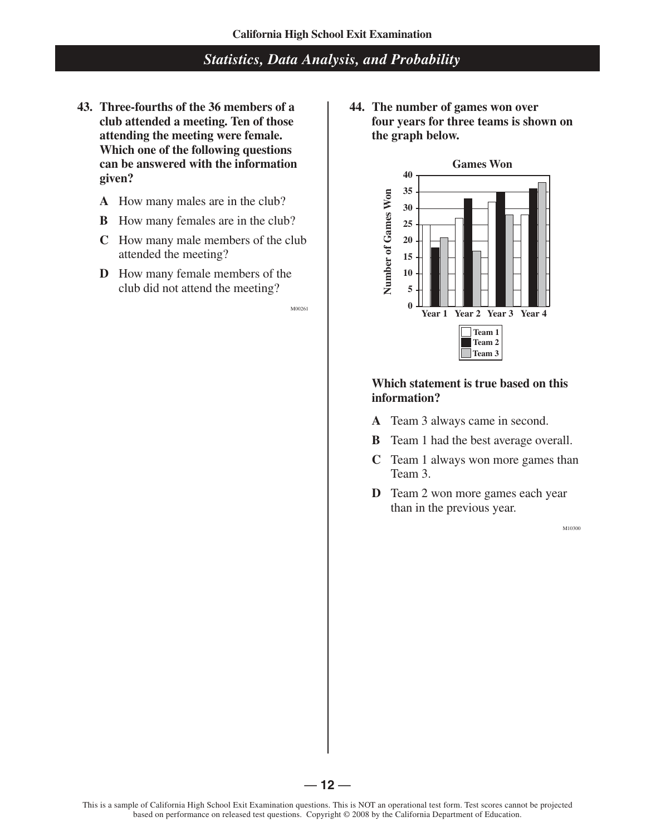- 43. Three-fourths of the 36 members of a 44. The number of games won over **attending the meeting were female. the graph below. Which one of the following questions can be answered with the information given?** 
	- **A** How many males are in the club?
	- **B** How many females are in the club?
	- **C** How many male members of the club attended the meeting?
	- **D** How many female members of the club did not attend the meeting?

M00261

**club attended a meeting. Ten of those four years for three teams is shown on** 



# **Which statement is true based on this information?**

- **A** Team 3 always came in second.
- **B** Team 1 had the best average overall.
- **C** Team 1 always won more games than Team 3.
- **D** Team 2 won more games each year than in the previous year.

M10300

 $-12-$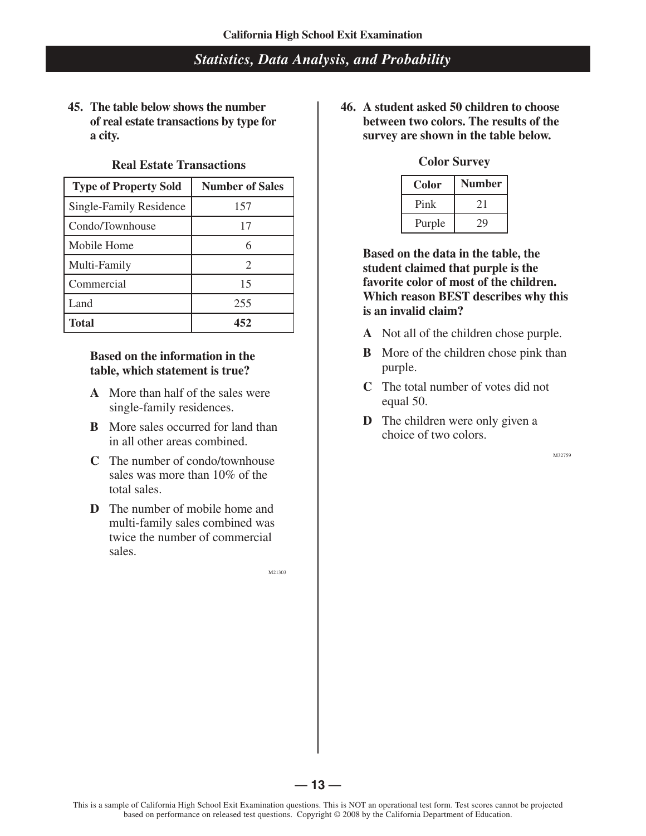**45. The table below shows the number of real estate transactions by type for a city.** 

#### **Real Estate Transactions**

| <b>Type of Property Sold</b>   | <b>Number of Sales</b> |  |                                                                                                                                                         | <b>Color</b>                                                                                                                                                                                                                                                                                                                                                                             | <b>Number</b> |
|--------------------------------|------------------------|--|---------------------------------------------------------------------------------------------------------------------------------------------------------|------------------------------------------------------------------------------------------------------------------------------------------------------------------------------------------------------------------------------------------------------------------------------------------------------------------------------------------------------------------------------------------|---------------|
| <b>Single-Family Residence</b> | 157                    |  |                                                                                                                                                         | Pink                                                                                                                                                                                                                                                                                                                                                                                     | 21            |
| Condo/Townhouse                |                        |  |                                                                                                                                                         | Purple                                                                                                                                                                                                                                                                                                                                                                                   | 29            |
| Mobile Home                    |                        |  | Based on the data in the ta<br>student claimed that purpl<br>favorite color of most of the<br><b>Which reason BEST descript</b><br>is an invalid claim? |                                                                                                                                                                                                                                                                                                                                                                                          |               |
| Multi-Family                   |                        |  |                                                                                                                                                         |                                                                                                                                                                                                                                                                                                                                                                                          |               |
| Commercial                     | 15                     |  |                                                                                                                                                         |                                                                                                                                                                                                                                                                                                                                                                                          |               |
| Land                           | 255                    |  |                                                                                                                                                         |                                                                                                                                                                                                                                                                                                                                                                                          |               |
| <b>Total</b>                   | 452                    |  |                                                                                                                                                         | $\lambda$ $\lambda$ $\tau$ $\lambda$ $\lambda$ $\eta$ $\lambda$ $\eta$ $\lambda$ $\eta$ $\lambda$ $\eta$ $\lambda$ $\eta$ $\lambda$ $\eta$ $\lambda$ $\eta$ $\lambda$ $\eta$ $\lambda$ $\eta$ $\lambda$ $\eta$ $\lambda$ $\eta$ $\lambda$ $\eta$ $\lambda$ $\eta$ $\lambda$ $\eta$ $\lambda$ $\eta$ $\lambda$ $\eta$ $\lambda$ $\eta$ $\lambda$ $\eta$ $\lambda$ $\eta$ $\lambda$ $\eta$ |               |

## **Based on the information in the table, which statement is true?**

- **A** More than half of the sales were single-family residences.
- **B** More sales occurred for land than in all other areas combined.
- **C** The number of condo/townhouse sales was more than 10% of the total sales.
- **D** The number of mobile home and multi-family sales combined was twice the number of commercial sales.

M21303

 **46. A student asked 50 children to choose between two colors. The results of the survey are shown in the table below.**

#### **Color Survey**

| Color  | <b>Number</b> |  |
|--------|---------------|--|
| Pink   | 21            |  |
| Purple |               |  |

**Based on the data in the table, the student claimed that purple is the favorite color of most of the children. Which reason BEST describes why this is an invalid claim?**

- **A** Not all of the children chose purple.
- **B** More of the children chose pink than purple.
- **C** The total number of votes did not equal 50.
- **D** The children were only given a choice of two colors.

M32759

 $-13-$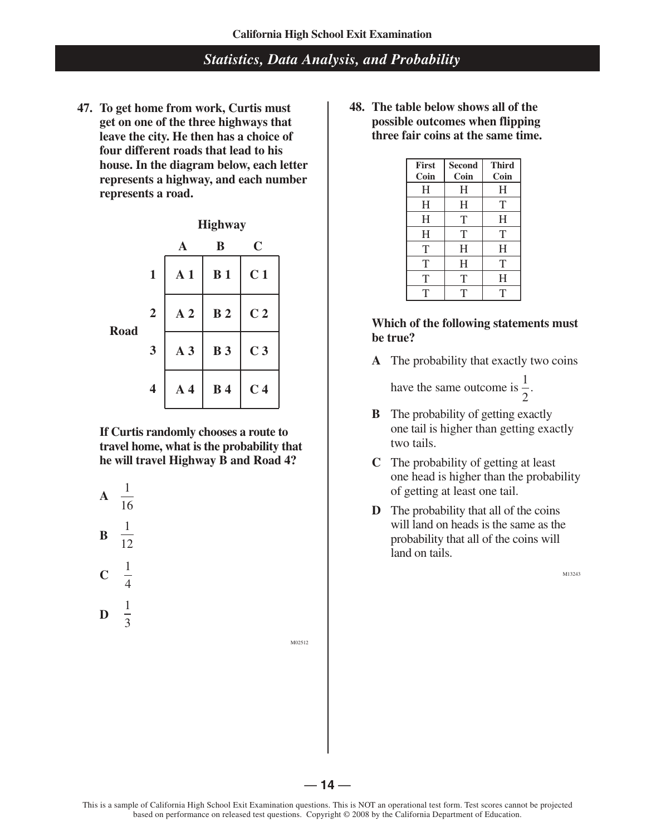**47. To get home from work, Curtis must get on one of the three highways that leave the city. He then has a choice of four different roads that lead to his house. In the diagram below, each letter represents a highway, and each number represents a road.** 



**If Curtis randomly chooses a route to travel home, what is the probability that he will travel Highway B and Road 4?** 

**A** 
$$
\frac{1}{16}
$$
  
\n**B**  $\frac{1}{12}$   
\n**C**  $\frac{1}{4}$   
\n**D**  $\frac{1}{2}$ 

3

M02512

 **48. The table below shows all of the possible outcomes when flipping three fair coins at the same time.** 

| <b>First</b> | <b>Second</b> | <b>Third</b> |
|--------------|---------------|--------------|
| Coin         | Coin          | Coin         |
| H            | H             | H            |
| H            | H             | T            |
| H            | T             | H            |
| H            | T             | T            |
| T            | H             | H            |
| T            | H             | T            |
| Т            | T             | H            |
| T            | T             | т            |

#### **Which of the following statements must be true?**

**A** The probability that exactly two coins

have the same outcome is  $\frac{1}{2}$ . 2

- **B** The probability of getting exactly one tail is higher than getting exactly two tails.
- **C** The probability of getting at least one head is higher than the probability of getting at least one tail.
- **D** The probability that all of the coins will land on heads is the same as the probability that all of the coins will land on tails.

M13243

 $-14-$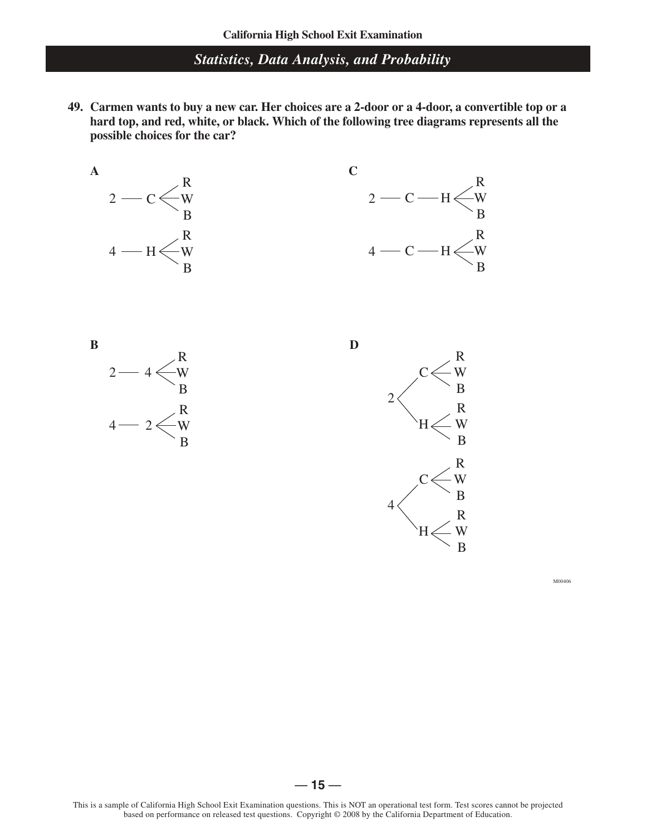**49. Carmen wants to buy a new car. Her choices are a 2-door or a 4-door, a convertible top or a hard top, and red, white, or black. Which of the following tree diagrams represents all the possible choices for the car?** 





**B** 



M00406

 $-15-$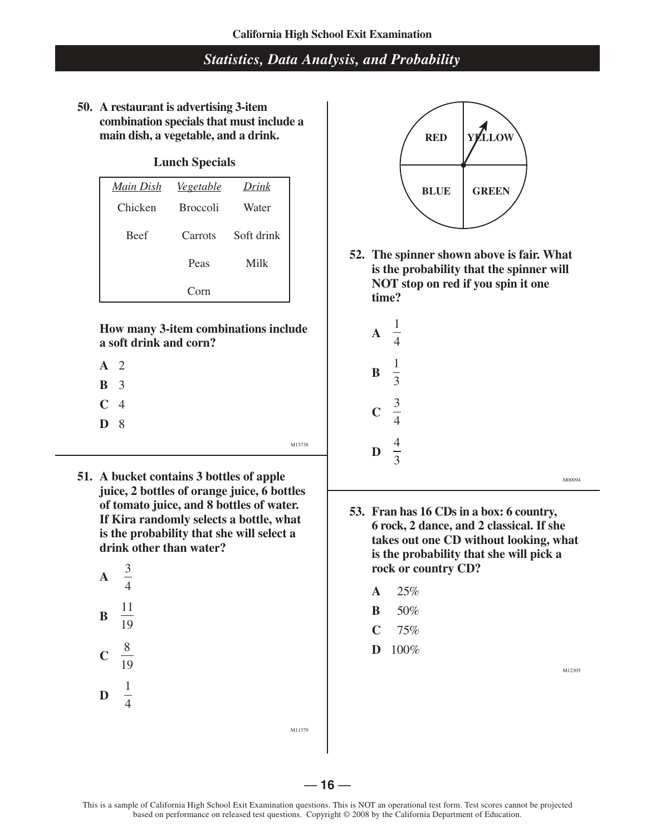**50. A restaurant is advertising 3-item combination specials that must include a main dish, a vegetable, and a drink.**

## **Lunch Specials**

| <u>Main Dish</u> | <u>Vegetable</u> | Drink      |
|------------------|------------------|------------|
| Chicken          | <b>Broccoli</b>  | Water      |
| <b>Beef</b>      | Carrots          | Soft drink |
|                  | Peas             | Milk       |
|                  | $C_{\Omega}$ rn  |            |

**How many 3-item combinations include a soft drink and corn?** 

- **A** 2
- **B** 3
- **C** 4
- **D** 8

- M13738
- **51. A bucket contains 3 bottles of apple juice, 2 bottles of orange juice, 6 bottles of tomato juice, and 8 bottles of water. If Kira randomly selects a bottle, what is the probability that she will select a drink other than water?**





 **52. The spinner shown above is fair. What is the probability that the spinner will NOT stop on red if you spin it one time?** 



- **53. Fran has 16 CDs in a box: 6 country, 6 rock, 2 dance, and 2 classical. If she takes out one CD without looking, what is the probability that she will pick a rock or country CD?** 
	- **A** 25%
	- **B** 50%
	- **C** 75%
	- **D** 100%

M12305

M00094

M11379

This is a sample of California High School Exit Examination questions. This is NOT an operational test form. Test scores cannot be projected based on performance on released test questions. Copyright © 2008 by the California Department of Education.

 $-16-$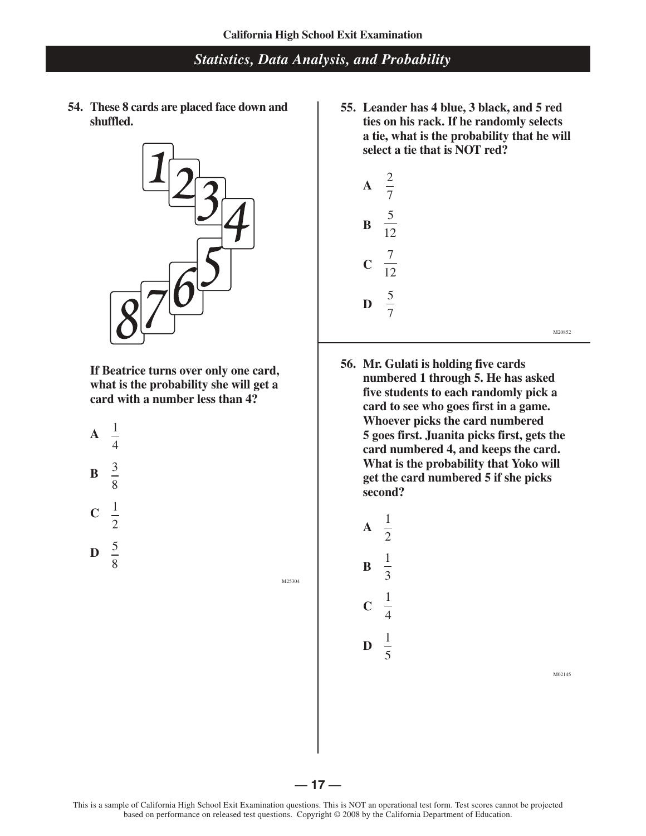**54. These 8 cards are placed face down and shuffled.**



**If Beatrice turns over only one card, what is the probability she will get a card with a number less than 4?** 

**A** 
$$
\frac{1}{4}
$$
  
**B**  $\frac{3}{8}$   
**C**  $\frac{1}{2}$ 

**D**  $rac{5}{8}$ 

M25304

 **55. Leander has 4 blue, 3 black, and 5 red ties on his rack. If he randomly selects a tie, what is the probability that he will select a tie that is NOT red?**



M20852

 **56. Mr. Gulati is holding five cards numbered 1 through 5. He has asked five students to each randomly pick a card to see who goes first in a game. Whoever picks the card numbered 5 goes first. Juanita picks first, gets the card numbered 4, and keeps the card. What is the probability that Yoko will get the card numbered 5 if she picks second?** 



M02145

This is a sample of California High School Exit Examination questions. This is NOT an operational test form. Test scores cannot be projected based on performance on released test questions. Copyright © 2008 by the California Department of Education.

 $-17-$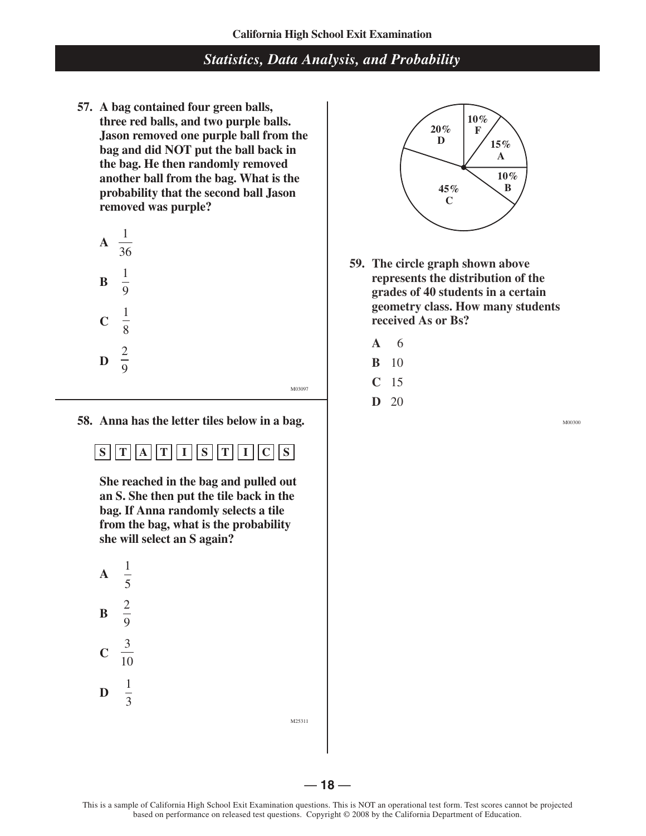**57. A bag contained four green balls, three red balls, and two purple balls. Jason removed one purple ball from the bag and did NOT put the ball back in the bag. He then randomly removed another ball from the bag. What is the probability that the second ball Jason removed was purple?** 

 $\bf{A}$   $\frac{1}{24}$ 36 **B**  1 9 **C**  1 8 **D**  2 9

 **58. Anna has the letter tiles below in a bag.**

# $\boxed{\left[\left[\left[\frac{1}{R}\right]\left[\frac{1}{S}\right]\left[\frac{1}{S}\right]\left[\frac{1}{C}\right]\left[\frac{1}{S}\right]\right]}$

 **She reached in the bag and pulled out an S. She then put the tile back in the bag. If Anna randomly selects a tile from the bag, what is the probability she will select an S again?**





- **59. The circle graph shown above represents the distribution of the grades of 40 students in a certain geometry class. How many students received As or Bs?** 
	- **A** 6
	- **B** 10
	- **C** 15

M03097

**D** 20

M00300

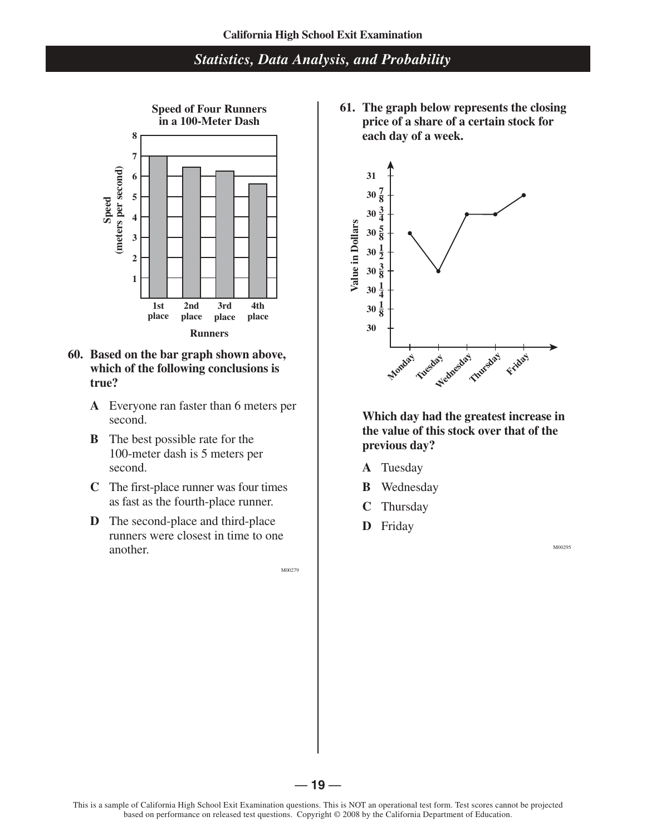

#### **60. Based on the bar graph shown above, which of the following conclusions is true?**

- **A** Everyone ran faster than 6 meters per second.
- **B** The best possible rate for the 100-meter dash is 5 meters per second.
- **C** The first-place runner was four times as fast as the fourth-place runner.
- **D** The second-place and third-place runners were closest in time to one another.

M00279

**Speed of Four Runners** 61. The graph below represents the closing<br>in a 100-Meter Dash below represents the closing<br>price of a share of a certain stock for **price of a share of a certain stock for each day of a week.** 



**Which day had the greatest increase in the value of this stock over that of the previous day?** 

- **A** Tuesday
- **B** Wednesday
- **C** Thursday
- **D** Friday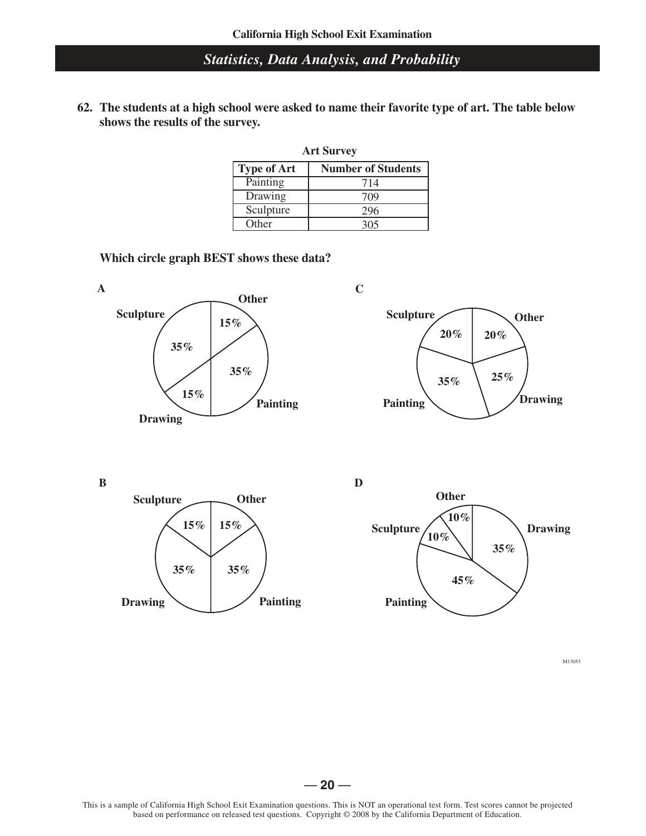**62. The students at a high school were asked to name their favorite type of art. The table below shows the results of the survey.** 

| <b>Art Survey</b>  |                           |  |
|--------------------|---------------------------|--|
| <b>Type of Art</b> | <b>Number of Students</b> |  |
| Painting           | 714                       |  |
| Drawing            | 709                       |  |
| Sculpture          | 296                       |  |
| Other              | 305                       |  |

**Which circle graph BEST shows these data?** 









M13053

#### $-20 -$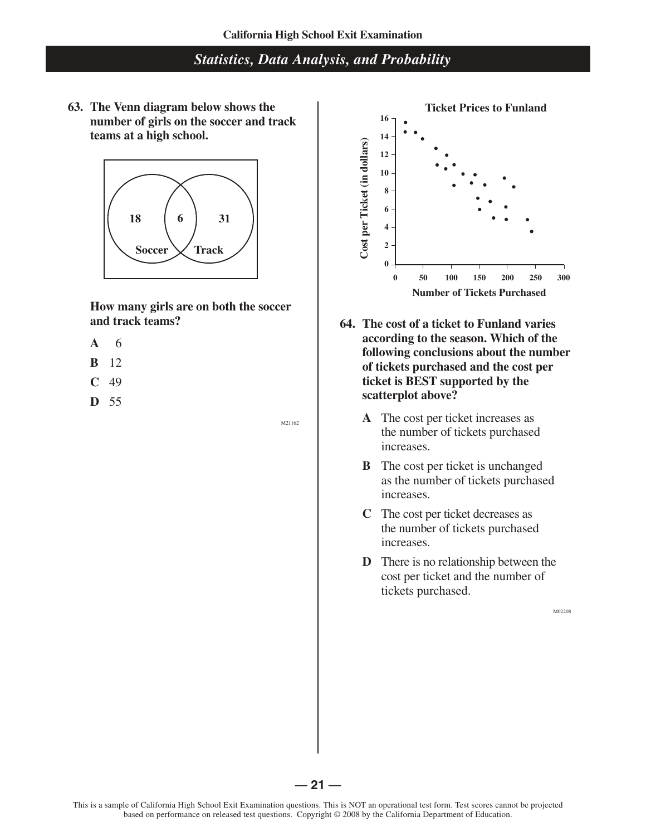**63. The Venn diagram below shows the number of girls on the soccer and track teams at a high school.**



**How many girls are on both the soccer and track teams?**

- **A** 6
- **B** 12
- **C** 49
- **D** 55

M21162



- **64. The cost of a ticket to Funland varies according to the season. Which of the following conclusions about the number of tickets purchased and the cost per ticket is BEST supported by the scatterplot above?** 
	- **A** The cost per ticket increases as the number of tickets purchased increases.
	- **B** The cost per ticket is unchanged as the number of tickets purchased increases.
	- **C** The cost per ticket decreases as the number of tickets purchased increases.
	- **D** There is no relationship between the cost per ticket and the number of tickets purchased.

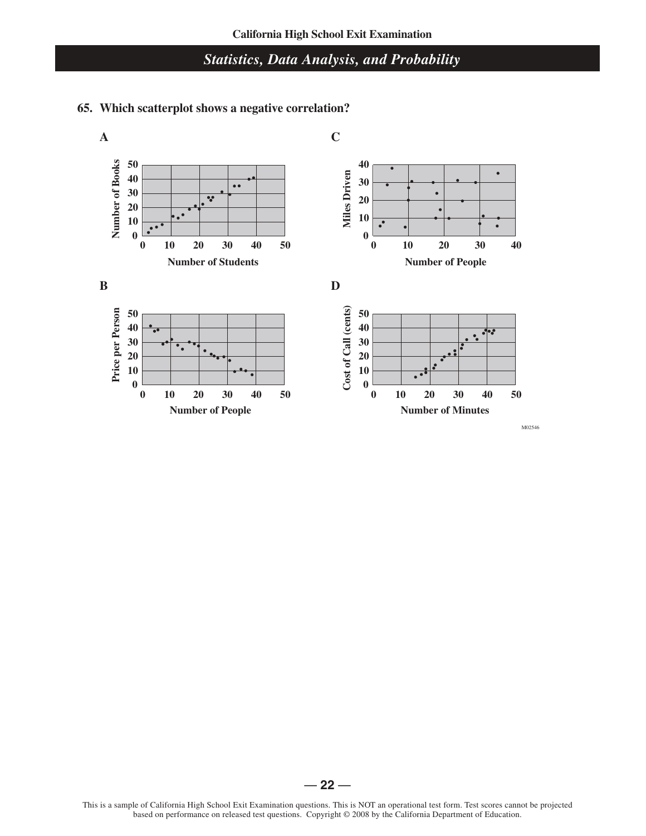#### **A C** Number of Books **Number of Books 50 40 Miles Driven 40 30**  $\bullet$ **30**  $\bullet$  $\overline{\bullet}$ **20 20 10 10 0 0 0 2 10 0 30 40 50 0 2 10 0 30 40 Number of Students Number of People B D** Cost of Call (cents) Price per Person **Cost of Call (cents) Price per Person 50 50 40 40 30 30** ٠. **20 20 10 10 0 0 0 2 10 0 30 40 50 0 2 10 0 30 40 50 Number of People Number of Minutes**

# **65. Which scatterplot shows a negative correlation?**

M02546

 $-22-$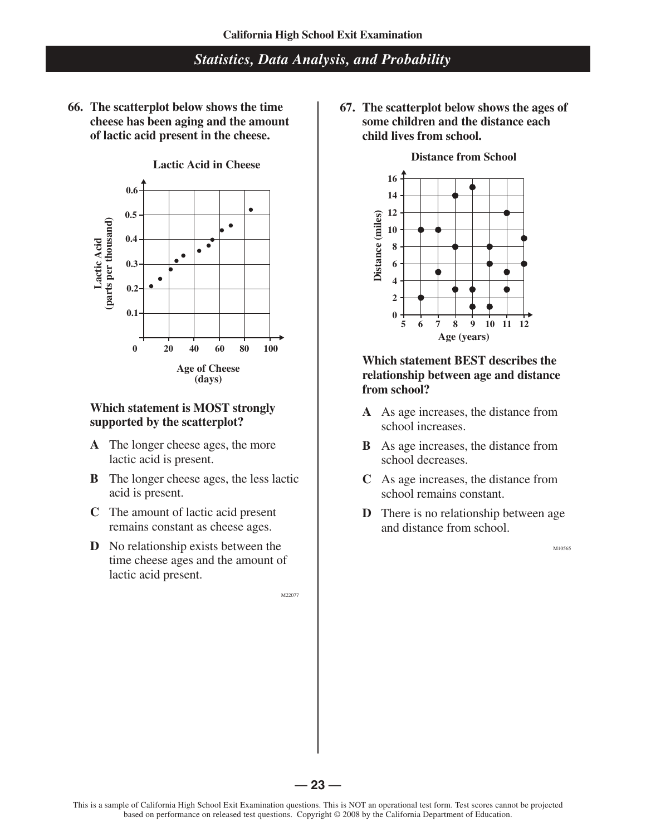**66. The scatterplot below shows the time cheese has been aging and the amount of lactic acid present in the cheese.**



### **Which statement is MOST strongly supported by the scatterplot?**

- **A** The longer cheese ages, the more lactic acid is present.
- **B** The longer cheese ages, the less lactic acid is present.
- **C** The amount of lactic acid present remains constant as cheese ages.
- **D** No relationship exists between the time cheese ages and the amount of lactic acid present.

M22077

 **67. The scatterplot below shows the ages of some children and the distance each child lives from school.**



#### **Distance from School**

#### **Which statement BEST describes the relationship between age and distance from school?**

- **A** As age increases, the distance from school increases.
- **B** As age increases, the distance from school decreases.
- **C** As age increases, the distance from school remains constant.
- **D** There is no relationship between age and distance from school.